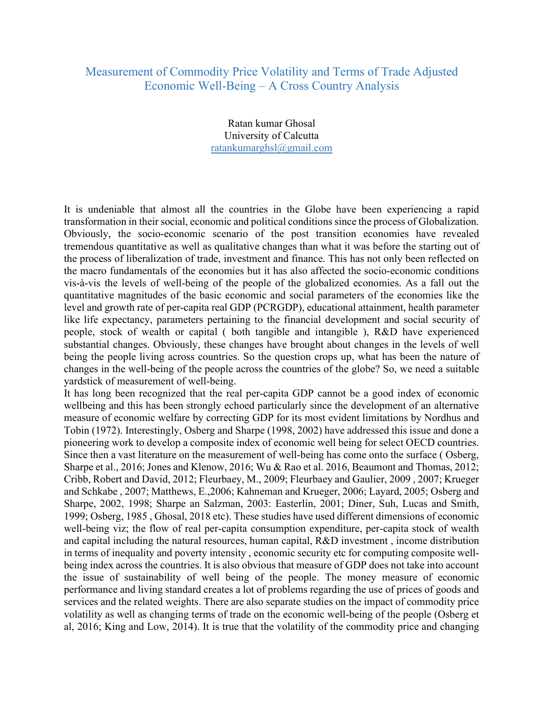## Measurement of Commodity Price Volatility and Terms of Trade Adjusted Economic Well-Being – A Cross Country Analysis

Ratan kumar Ghosal University of Calcutta ratankumarghsl@gmail.com

It is undeniable that almost all the countries in the Globe have been experiencing a rapid transformation in their social, economic and political conditions since the process of Globalization. Obviously, the socio-economic scenario of the post transition economies have revealed tremendous quantitative as well as qualitative changes than what it was before the starting out of the process of liberalization of trade, investment and finance. This has not only been reflected on the macro fundamentals of the economies but it has also affected the socio-economic conditions vis-à-vis the levels of well-being of the people of the globalized economies. As a fall out the quantitative magnitudes of the basic economic and social parameters of the economies like the level and growth rate of per-capita real GDP (PCRGDP), educational attainment, health parameter like life expectancy, parameters pertaining to the financial development and social security of people, stock of wealth or capital ( both tangible and intangible ), R&D have experienced substantial changes. Obviously, these changes have brought about changes in the levels of well being the people living across countries. So the question crops up, what has been the nature of changes in the well-being of the people across the countries of the globe? So, we need a suitable yardstick of measurement of well-being.

It has long been recognized that the real per-capita GDP cannot be a good index of economic wellbeing and this has been strongly echoed particularly since the development of an alternative measure of economic welfare by correcting GDP for its most evident limitations by Nordhus and Tobin (1972). Interestingly, Osberg and Sharpe (1998, 2002) have addressed this issue and done a pioneering work to develop a composite index of economic well being for select OECD countries. Since then a vast literature on the measurement of well-being has come onto the surface ( Osberg, Sharpe et al., 2016; Jones and Klenow, 2016; Wu & Rao et al. 2016, Beaumont and Thomas, 2012; Cribb, Robert and David, 2012; Fleurbaey, M., 2009; Fleurbaey and Gaulier, 2009 , 2007; Krueger and Schkabe , 2007; Matthews, E.,2006; Kahneman and Krueger, 2006; Layard, 2005; Osberg and Sharpe, 2002, 1998; Sharpe an Salzman, 2003: Easterlin, 2001; Diner, Suh, Lucas and Smith, 1999; Osberg, 1985 , Ghosal, 2018 etc). These studies have used different dimensions of economic well-being viz; the flow of real per-capita consumption expenditure, per-capita stock of wealth and capital including the natural resources, human capital, R&D investment , income distribution in terms of inequality and poverty intensity , economic security etc for computing composite wellbeing index across the countries. It is also obvious that measure of GDP does not take into account the issue of sustainability of well being of the people. The money measure of economic performance and living standard creates a lot of problems regarding the use of prices of goods and services and the related weights. There are also separate studies on the impact of commodity price volatility as well as changing terms of trade on the economic well-being of the people (Osberg et al, 2016; King and Low, 2014). It is true that the volatility of the commodity price and changing